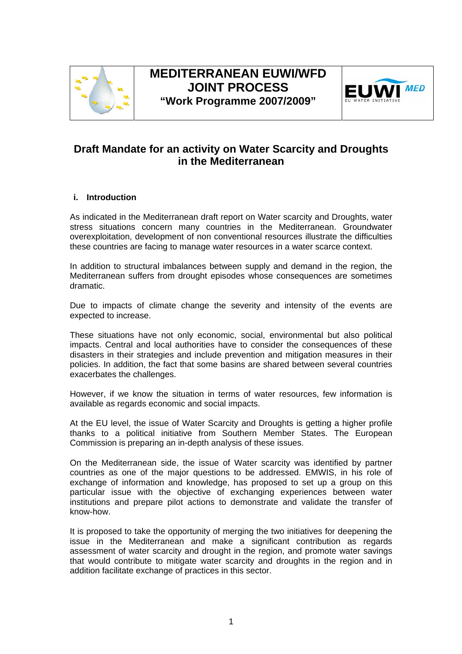

# **MEDITERRANEAN EUWI/WFD JOINT PROCESS "Work Programme 2007/2009"**



# **Draft Mandate for an activity on Water Scarcity and Droughts in the Mediterranean**

## **i. Introduction**

As indicated in the Mediterranean draft report on Water scarcity and Droughts, water stress situations concern many countries in the Mediterranean. Groundwater overexploitation, development of non conventional resources illustrate the difficulties these countries are facing to manage water resources in a water scarce context.

In addition to structural imbalances between supply and demand in the region, the Mediterranean suffers from drought episodes whose consequences are sometimes dramatic.

Due to impacts of climate change the severity and intensity of the events are expected to increase.

These situations have not only economic, social, environmental but also political impacts. Central and local authorities have to consider the consequences of these disasters in their strategies and include prevention and mitigation measures in their policies. In addition, the fact that some basins are shared between several countries exacerbates the challenges.

However, if we know the situation in terms of water resources, few information is available as regards economic and social impacts.

At the EU level, the issue of Water Scarcity and Droughts is getting a higher profile thanks to a political initiative from Southern Member States. The European Commission is preparing an in-depth analysis of these issues.

On the Mediterranean side, the issue of Water scarcity was identified by partner countries as one of the major questions to be addressed. EMWIS, in his role of exchange of information and knowledge, has proposed to set up a group on this particular issue with the objective of exchanging experiences between water institutions and prepare pilot actions to demonstrate and validate the transfer of know-how.

It is proposed to take the opportunity of merging the two initiatives for deepening the issue in the Mediterranean and make a significant contribution as regards assessment of water scarcity and drought in the region, and promote water savings that would contribute to mitigate water scarcity and droughts in the region and in addition facilitate exchange of practices in this sector.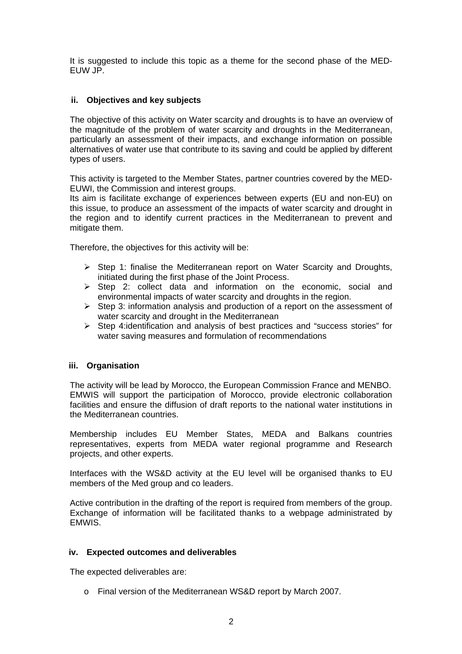It is suggested to include this topic as a theme for the second phase of the MED-EUW JP.

## **ii. Objectives and key subjects**

The objective of this activity on Water scarcity and droughts is to have an overview of the magnitude of the problem of water scarcity and droughts in the Mediterranean, particularly an assessment of their impacts, and exchange information on possible alternatives of water use that contribute to its saving and could be applied by different types of users.

This activity is targeted to the Member States, partner countries covered by the MED-EUWI, the Commission and interest groups.

Its aim is facilitate exchange of experiences between experts (EU and non-EU) on this issue, to produce an assessment of the impacts of water scarcity and drought in the region and to identify current practices in the Mediterranean to prevent and mitigate them.

Therefore, the objectives for this activity will be:

- $\triangleright$  Step 1: finalise the Mediterranean report on Water Scarcity and Droughts, initiated during the first phase of the Joint Process.
- ¾ Step 2: collect data and information on the economic, social and environmental impacts of water scarcity and droughts in the region.
- $\triangleright$  Step 3: information analysis and production of a report on the assessment of water scarcity and drought in the Mediterranean
- ¾ Step 4:identification and analysis of best practices and "success stories" for water saving measures and formulation of recommendations

## **iii. Organisation**

The activity will be lead by Morocco, the European Commission France and MENBO. EMWIS will support the participation of Morocco, provide electronic collaboration facilities and ensure the diffusion of draft reports to the national water institutions in the Mediterranean countries.

Membership includes EU Member States, MEDA and Balkans countries representatives, experts from MEDA water regional programme and Research projects, and other experts.

Interfaces with the WS&D activity at the EU level will be organised thanks to EU members of the Med group and co leaders.

Active contribution in the drafting of the report is required from members of the group. Exchange of information will be facilitated thanks to a webpage administrated by EMWIS.

## **iv. Expected outcomes and deliverables**

The expected deliverables are:

o Final version of the Mediterranean WS&D report by March 2007.